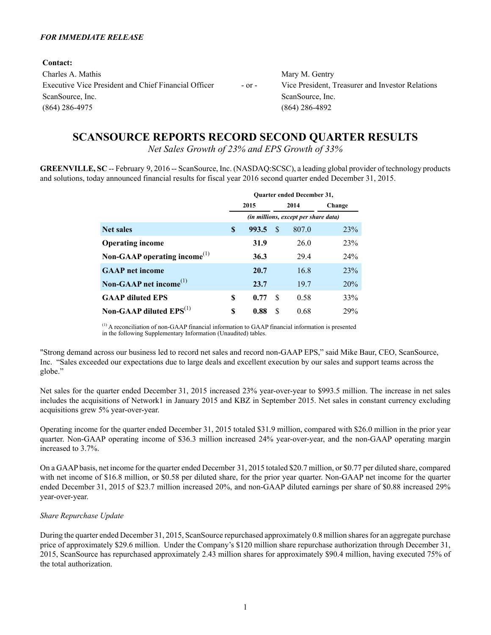#### *FOR IMMEDIATE RELEASE*

**Contact:**

| Contact:                                             |            |                                                  |
|------------------------------------------------------|------------|--------------------------------------------------|
| Charles A. Mathis                                    |            | Mary M. Gentry                                   |
| Executive Vice President and Chief Financial Officer | $-$ or $-$ | Vice President, Treasurer and Investor Relations |
| ScanSource, Inc.                                     |            | ScanSource, Inc.                                 |
| $(864)$ 286-4975                                     |            | $(864)$ 286-4892                                 |
|                                                      |            |                                                  |

# **SCANSOURCE REPORTS RECORD SECOND QUARTER RESULTS**

*Net Sales Growth of 23% and EPS Growth of 33%*

**GREENVILLE, SC** -- February 9, 2016 -- ScanSource, Inc. (NASDAQ:SCSC), a leading global provider of technology products and solutions, today announced financial results for fiscal year 2016 second quarter ended December 31, 2015.

|                                                       |    | <b>Ouarter ended December 31,</b>    |     |       |            |  |  |  |  |  |
|-------------------------------------------------------|----|--------------------------------------|-----|-------|------------|--|--|--|--|--|
|                                                       |    | 2015                                 |     | 2014  | Change     |  |  |  |  |  |
|                                                       |    | (in millions, except per share data) |     |       |            |  |  |  |  |  |
| <b>Net sales</b>                                      | S  | 993.5                                | S   | 807.0 | <b>23%</b> |  |  |  |  |  |
| <b>Operating income</b>                               |    | 31.9                                 |     | 26.0  | 23%        |  |  |  |  |  |
| Non-GAAP operating income <sup><math>(1)</math></sup> |    | 36.3                                 |     | 29.4  | 24%        |  |  |  |  |  |
| <b>GAAP</b> net income                                |    | 20.7                                 |     | 16.8  | 23%        |  |  |  |  |  |
| Non-GAAP net income <sup><math>(1)</math></sup>       |    | 23.7                                 |     | 19.7  | 20%        |  |  |  |  |  |
| <b>GAAP</b> diluted EPS                               | \$ | 0.77                                 | \$. | 0.58  | 33%        |  |  |  |  |  |
| Non-GAAP diluted $EPS^{(1)}$                          | \$ | 0.88                                 | \$. | 0.68  | 29%        |  |  |  |  |  |

 $(1)$  A reconciliation of non-GAAP financial information to GAAP financial information is presented in the following Supplementary Information (Unaudited) tables.

"Strong demand across our business led to record net sales and record non-GAAP EPS," said Mike Baur, CEO, ScanSource, Inc. "Sales exceeded our expectations due to large deals and excellent execution by our sales and support teams across the globe."

Net sales for the quarter ended December 31, 2015 increased 23% year-over-year to \$993.5 million. The increase in net sales includes the acquisitions of Network1 in January 2015 and KBZ in September 2015. Net sales in constant currency excluding acquisitions grew 5% year-over-year.

Operating income for the quarter ended December 31, 2015 totaled \$31.9 million, compared with \$26.0 million in the prior year quarter. Non-GAAP operating income of \$36.3 million increased 24% year-over-year, and the non-GAAP operating margin increased to 3.7%.

On a GAAPbasis, net income for the quarter ended December 31, 2015 totaled \$20.7 million, or \$0.77 per diluted share, compared with net income of \$16.8 million, or \$0.58 per diluted share, for the prior year quarter. Non-GAAP net income for the quarter ended December 31, 2015 of \$23.7 million increased 20%, and non-GAAP diluted earnings per share of \$0.88 increased 29% year-over-year.

### *Share Repurchase Update*

During the quarter ended December 31, 2015, ScanSource repurchased approximately 0.8 million shares for an aggregate purchase price of approximately \$29.6 million. Under the Company's \$120 million share repurchase authorization through December 31, 2015, ScanSource has repurchased approximately 2.43 million shares for approximately \$90.4 million, having executed 75% of the total authorization.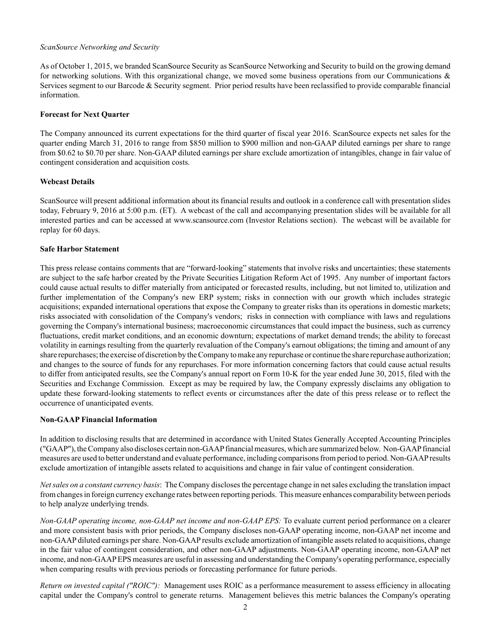### *ScanSource Networking and Security*

As of October 1, 2015, we branded ScanSource Security as ScanSource Networking and Security to build on the growing demand for networking solutions. With this organizational change, we moved some business operations from our Communications  $\&$ Services segment to our Barcode & Security segment. Prior period results have been reclassified to provide comparable financial information.

### **Forecast for Next Quarter**

The Company announced its current expectations for the third quarter of fiscal year 2016. ScanSource expects net sales for the quarter ending March 31, 2016 to range from \$850 million to \$900 million and non-GAAP diluted earnings per share to range from \$0.62 to \$0.70 per share. Non-GAAPdiluted earnings per share exclude amortization of intangibles, change in fair value of contingent consideration and acquisition costs.

### **Webcast Details**

ScanSource will present additional information about its financial results and outlook in a conference call with presentation slides today, February 9, 2016 at 5:00 p.m. (ET). A webcast of the call and accompanying presentation slides will be available for all interested parties and can be accessed at www.scansource.com (Investor Relations section). The webcast will be available for replay for 60 days.

### **Safe Harbor Statement**

This press release contains comments that are "forward-looking" statements that involve risks and uncertainties; these statements are subject to the safe harbor created by the Private Securities Litigation Reform Act of 1995. Any number of important factors could cause actual results to differ materially from anticipated or forecasted results, including, but not limited to, utilization and further implementation of the Company's new ERP system; risks in connection with our growth which includes strategic acquisitions; expanded international operations that expose the Company to greater risks than its operations in domestic markets; risks associated with consolidation of the Company's vendors; risks in connection with compliance with laws and regulations governing the Company's international business; macroeconomic circumstances that could impact the business, such as currency fluctuations, credit market conditions, and an economic downturn; expectations of market demand trends; the ability to forecast volatility in earnings resulting from the quarterly revaluation of the Company's earnout obligations; the timing and amount of any share repurchases; the exercise of discretion by the Company to make any repurchase or continue the share repurchase authorization; and changes to the source of funds for any repurchases. For more information concerning factors that could cause actual results to differ from anticipated results, see the Company's annual report on Form 10-K for the year ended June 30, 2015, filed with the Securities and Exchange Commission. Except as may be required by law, the Company expressly disclaims any obligation to update these forward-looking statements to reflect events or circumstances after the date of this press release or to reflect the occurrence of unanticipated events.

### **Non-GAAP Financial Information**

In addition to disclosing results that are determined in accordance with United States Generally Accepted Accounting Principles ("GAAP"), the Company also discloses certain non-GAAPfinancial measures, which are summarized below. Non-GAAPfinancial measures are used to better understand and evaluate performance, including comparisons from period to period. Non-GAAPresults exclude amortization of intangible assets related to acquisitions and change in fair value of contingent consideration.

*Net sales on a constant currency basis*: The Company discloses the percentage change in net sales excluding the translation impact from changes in foreign currency exchange rates between reporting periods. This measure enhances comparability between periods to help analyze underlying trends.

*Non-GAAP operating income, non-GAAP net income and non-GAAP EPS:* To evaluate current period performance on a clearer and more consistent basis with prior periods, the Company discloses non-GAAP operating income, non-GAAP net income and non-GAAPdiluted earnings per share. Non-GAAPresults exclude amortization of intangible assets related to acquisitions, change in the fair value of contingent consideration, and other non-GAAP adjustments. Non-GAAP operating income, non-GAAP net income, and non-GAAPEPS measures are useful in assessing and understanding the Company's operating performance, especially when comparing results with previous periods or forecasting performance for future periods.

*Return on invested capital ("ROIC"):* Management uses ROIC as a performance measurement to assess efficiency in allocating capital under the Company's control to generate returns. Management believes this metric balances the Company's operating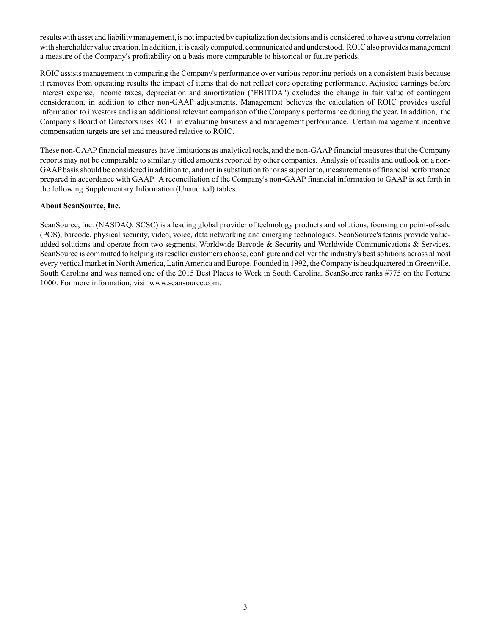results with asset and liability management, is not impacted by capitalization decisions and is considered to have a strong correlation with shareholder value creation. In addition, it is easily computed, communicated and understood. ROIC also provides management a measure of the Company's profitability on a basis more comparable to historical or future periods.

ROIC assists management in comparing the Company's performance over various reporting periods on a consistent basis because it removes from operating results the impact of items that do not reflect core operating performance. Adjusted earnings before interest expense, income taxes, depreciation and amortization ("EBITDA") excludes the change in fair value of contingent consideration, in addition to other non-GAAP adjustments. Management believes the calculation of ROIC provides useful information to investors and is an additional relevant comparison of the Company's performance during the year. In addition, the Company's Board of Directors uses ROIC in evaluating business and management performance. Certain management incentive compensation targets are set and measured relative to ROIC.

These non-GAAPfinancial measures have limitations as analytical tools, and the non-GAAPfinancial measures that the Company reports may not be comparable to similarly titled amounts reported by other companies. Analysis of results and outlook on a non-GAAPbasis should be considered in addition to, and not in substitution for or as superior to, measurements of financial performance prepared in accordance with GAAP. A reconciliation of the Company's non-GAAPfinancial information to GAAPis set forth in the following Supplementary Information (Unaudited) tables.

### **About ScanSource, Inc.**

ScanSource, Inc. (NASDAQ: SCSC) is a leading global provider of technology products and solutions, focusing on point-of-sale (POS), barcode, physical security, video, voice, data networking and emerging technologies. ScanSource's teams provide valueadded solutions and operate from two segments, Worldwide Barcode & Security and Worldwide Communications & Services. ScanSource is committed to helping its reseller customers choose, configure and deliver the industry's best solutions across almost every vertical market in North America, Latin America and Europe. Founded in 1992, the Company is headquartered in Greenville, South Carolina and was named one of the 2015 Best Places to Work in South Carolina. ScanSource ranks #775 on the Fortune 1000. For more information, visit www.scansource.com.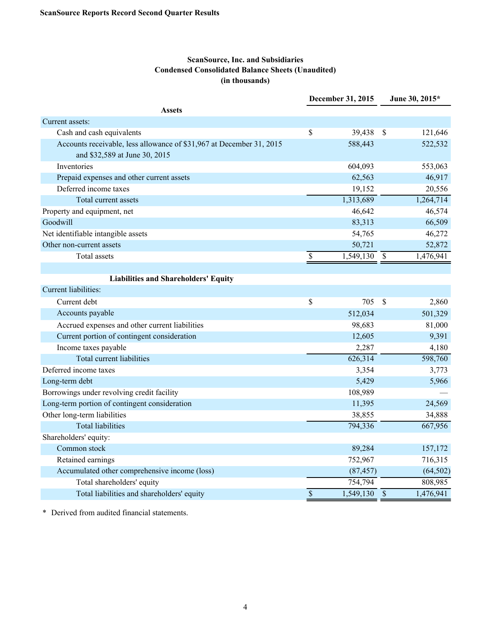### **ScanSource, Inc. and Subsidiaries Condensed Consolidated Balance Sheets (Unaudited) (in thousands)**

|                                                                      |                    | December 31, 2015 |                           | June 30, 2015* |
|----------------------------------------------------------------------|--------------------|-------------------|---------------------------|----------------|
| <b>Assets</b>                                                        |                    |                   |                           |                |
| Current assets:                                                      |                    |                   |                           |                |
| Cash and cash equivalents                                            | \$                 | 39,438            | $\mathcal{S}$             | 121,646        |
| Accounts receivable, less allowance of \$31,967 at December 31, 2015 |                    | 588,443           |                           | 522,532        |
| and \$32,589 at June 30, 2015                                        |                    |                   |                           |                |
| Inventories                                                          |                    | 604,093           |                           | 553,063        |
| Prepaid expenses and other current assets                            |                    | 62,563            |                           | 46,917         |
| Deferred income taxes                                                |                    | 19,152            |                           | 20,556         |
| Total current assets                                                 |                    | 1,313,689         |                           | 1,264,714      |
| Property and equipment, net                                          |                    | 46,642            |                           | 46,574         |
| Goodwill                                                             |                    | 83,313            |                           | 66,509         |
| Net identifiable intangible assets                                   |                    | 54,765            |                           | 46,272         |
| Other non-current assets                                             |                    | 50,721            |                           | 52,872         |
| Total assets                                                         | \$                 | 1,549,130         | $\boldsymbol{\mathsf{S}}$ | 1,476,941      |
|                                                                      |                    |                   |                           |                |
| <b>Liabilities and Shareholders' Equity</b>                          |                    |                   |                           |                |
| Current liabilities:                                                 |                    |                   |                           |                |
| Current debt                                                         | \$                 | 705               | $\mathcal{S}$             | 2,860          |
| Accounts payable                                                     |                    | 512,034           |                           | 501,329        |
| Accrued expenses and other current liabilities                       |                    | 98,683            |                           | 81,000         |
| Current portion of contingent consideration                          |                    | 12,605            |                           | 9,391          |
| Income taxes payable                                                 |                    | 2,287             |                           | 4,180          |
| <b>Total current liabilities</b>                                     |                    | 626,314           |                           | 598,760        |
| Deferred income taxes                                                |                    | 3,354             |                           | 3,773          |
| Long-term debt                                                       |                    | 5,429             |                           | 5,966          |
| Borrowings under revolving credit facility                           |                    | 108,989           |                           |                |
| Long-term portion of contingent consideration                        |                    | 11,395            |                           | 24,569         |
| Other long-term liabilities                                          |                    | 38,855            |                           | 34,888         |
| <b>Total liabilities</b>                                             |                    | 794,336           |                           | 667,956        |
| Shareholders' equity:                                                |                    |                   |                           |                |
| Common stock                                                         |                    | 89,284            |                           | 157,172        |
| Retained earnings                                                    |                    | 752,967           |                           | 716,315        |
| Accumulated other comprehensive income (loss)                        |                    | (87, 457)         |                           | (64, 502)      |
| Total shareholders' equity                                           |                    | 754,794           |                           | 808,985        |
| Total liabilities and shareholders' equity                           | $\mathbf{\hat{S}}$ | 1,549,130         | $\overline{\mathcal{S}}$  | 1,476,941      |

\* Derived from audited financial statements.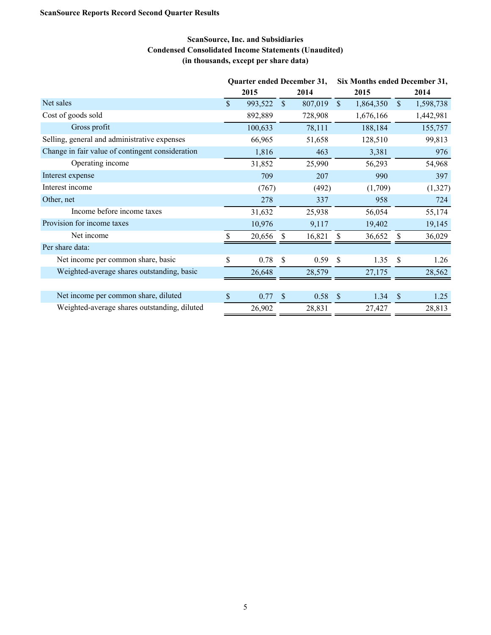## **ScanSource, Inc. and Subsidiaries Condensed Consolidated Income Statements (Unaudited) (in thousands, except per share data)**

|                                                  | Quarter ended December 31, |         |               |           | Six Months ended December 31, |           |               |           |  |
|--------------------------------------------------|----------------------------|---------|---------------|-----------|-------------------------------|-----------|---------------|-----------|--|
|                                                  |                            | 2015    |               | 2014      |                               | 2015      |               | 2014      |  |
| Net sales                                        | $\mathbb{S}$               | 993,522 | $\mathbb{S}$  | 807,019   | $\mathcal{S}$                 | 1,864,350 | $\mathbb{S}$  | 1,598,738 |  |
| Cost of goods sold                               |                            | 892,889 |               | 728,908   |                               | 1,676,166 |               | 1,442,981 |  |
| Gross profit                                     |                            | 100,633 |               | 78,111    |                               | 188,184   |               | 155,757   |  |
| Selling, general and administrative expenses     |                            | 66,965  |               | 51,658    |                               | 128,510   |               | 99,813    |  |
| Change in fair value of contingent consideration |                            | 1,816   |               | 463       |                               | 3,381     |               | 976       |  |
| Operating income                                 |                            | 31,852  |               | 25,990    |                               | 56,293    |               | 54,968    |  |
| Interest expense                                 |                            | 709     |               | 207       |                               | 990       |               | 397       |  |
| Interest income                                  |                            | (767)   |               | (492)     |                               | (1,709)   |               | (1,327)   |  |
| Other, net                                       |                            | 278     |               | 337       |                               | 958       |               | 724       |  |
| Income before income taxes                       |                            | 31,632  |               | 25,938    |                               | 56,054    |               | 55,174    |  |
| Provision for income taxes                       |                            | 10,976  |               | 9,117     |                               | 19,402    |               | 19,145    |  |
| Net income                                       | \$.                        | 20,656  | -S            | 16,821    | \$                            | 36,652    | \$            | 36,029    |  |
| Per share data:                                  |                            |         |               |           |                               |           |               |           |  |
| Net income per common share, basic               | \$                         | 0.78    | \$            | 0.59      | -\$                           | 1.35      | <sup>\$</sup> | 1.26      |  |
| Weighted-average shares outstanding, basic       |                            | 26,648  |               | 28,579    |                               | 27,175    |               | 28,562    |  |
|                                                  |                            |         |               |           |                               |           |               |           |  |
| Net income per common share, diluted             | $\$$                       | 0.77    | $\mathcal{S}$ | $0.58$ \$ |                               | 1.34      | $\mathcal{S}$ | 1.25      |  |
| Weighted-average shares outstanding, diluted     |                            | 26,902  |               | 28,831    |                               | 27,427    |               | 28,813    |  |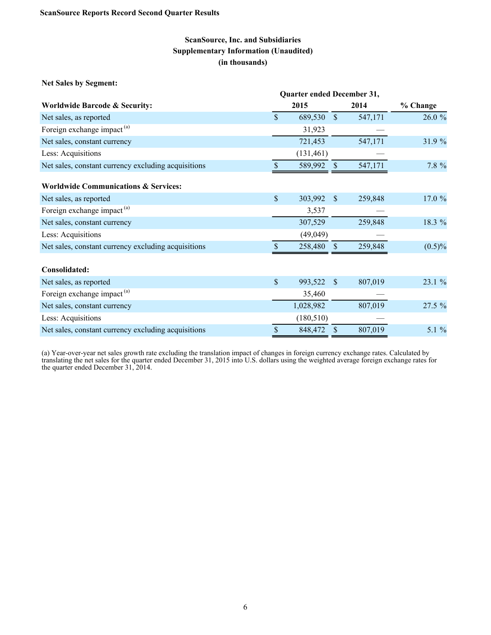**Net Sales by Segment:**

|                                                     | Quarter ended December 31, |            |               |         |           |  |
|-----------------------------------------------------|----------------------------|------------|---------------|---------|-----------|--|
| <b>Worldwide Barcode &amp; Security:</b>            |                            | 2015       |               | 2014    | % Change  |  |
| Net sales, as reported                              | $\mathbb{S}$               | 689,530    | $\mathbb{S}$  | 547,171 | 26.0 %    |  |
| Foreign exchange impact <sup>(a)</sup>              |                            | 31,923     |               |         |           |  |
| Net sales, constant currency                        |                            | 721,453    |               | 547,171 | 31.9 %    |  |
| Less: Acquisitions                                  |                            | (131, 461) |               |         |           |  |
| Net sales, constant currency excluding acquisitions | \$                         | 589,992    | $\mathbf{\$}$ | 547,171 | 7.8 %     |  |
| <b>Worldwide Communications &amp; Services:</b>     |                            |            |               |         |           |  |
| Net sales, as reported                              | $\mathbb{S}$               | 303,992    | $\mathcal{S}$ | 259,848 | 17.0 %    |  |
| Foreign exchange impact <sup>(a)</sup>              |                            | 3,537      |               |         |           |  |
| Net sales, constant currency                        |                            | 307,529    |               | 259,848 | 18.3 %    |  |
| Less: Acquisitions                                  |                            | (49, 049)  |               |         |           |  |
| Net sales, constant currency excluding acquisitions |                            | 258,480    | <sup>\$</sup> | 259,848 | $(0.5)\%$ |  |
| Consolidated:                                       |                            |            |               |         |           |  |
| Net sales, as reported                              | \$                         | 993,522    | $\mathbb{S}$  | 807,019 | 23.1 %    |  |
| Foreign exchange impact <sup>(a)</sup>              |                            | 35,460     |               |         |           |  |
| Net sales, constant currency                        |                            | 1,028,982  |               | 807,019 | 27.5 %    |  |
| Less: Acquisitions                                  |                            | (180, 510) |               |         |           |  |
| Net sales, constant currency excluding acquisitions | \$                         | 848,472    | $\sqrt{\ }$   | 807,019 | 5.1 $%$   |  |

(a) Year-over-year net sales growth rate excluding the translation impact of changes in foreign currency exchange rates. Calculated by translating the net sales for the quarter ended December 31, 2015 into U.S. dollars using the weighted average foreign exchange rates for the quarter ended December 31, 2014.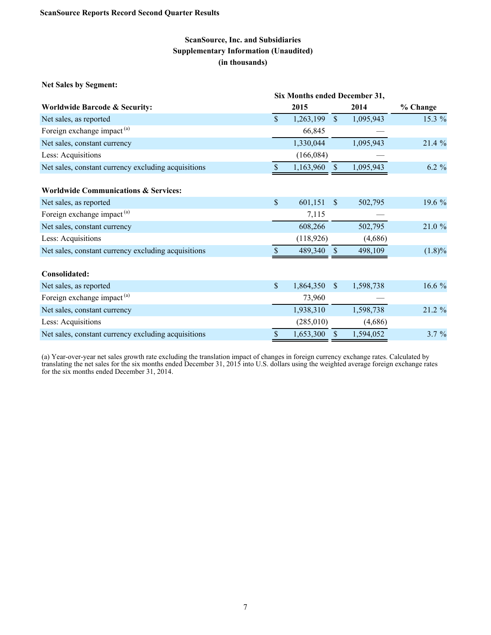|                                                     | Six Months ended December 31, |            |               |           |           |  |
|-----------------------------------------------------|-------------------------------|------------|---------------|-----------|-----------|--|
| <b>Worldwide Barcode &amp; Security:</b>            |                               | 2015       |               | 2014      | % Change  |  |
| Net sales, as reported                              | $\mathbb{S}$                  | 1,263,199  | $\mathbb{S}$  | 1,095,943 | 15.3 %    |  |
| Foreign exchange impact <sup>(a)</sup>              |                               | 66,845     |               |           |           |  |
| Net sales, constant currency                        |                               | 1,330,044  |               | 1,095,943 | 21.4 %    |  |
| Less: Acquisitions                                  |                               | (166, 084) |               |           |           |  |
| Net sales, constant currency excluding acquisitions |                               | 1,163,960  | $\mathcal{S}$ | 1,095,943 | 6.2 %     |  |
| <b>Worldwide Communications &amp; Services:</b>     |                               |            |               |           |           |  |
| Net sales, as reported                              | \$                            | 601,151    | \$            | 502,795   | 19.6 %    |  |
| Foreign exchange impact <sup>(a)</sup>              |                               | 7,115      |               |           |           |  |
| Net sales, constant currency                        |                               | 608,266    |               | 502,795   | 21.0 %    |  |
| Less: Acquisitions                                  |                               | (118, 926) |               | (4,686)   |           |  |
| Net sales, constant currency excluding acquisitions |                               | 489,340    | $\mathbb{S}$  | 498,109   | $(1.8)\%$ |  |
| Consolidated:                                       |                               |            |               |           |           |  |
| Net sales, as reported                              | \$                            | 1,864,350  | $\mathbb{S}$  | 1,598,738 | 16.6 %    |  |
| Foreign exchange impact <sup>(a)</sup>              |                               | 73,960     |               |           |           |  |
| Net sales, constant currency                        |                               | 1,938,310  |               | 1,598,738 | 21.2 %    |  |
| Less: Acquisitions                                  |                               | (285,010)  |               | (4,686)   |           |  |
| Net sales, constant currency excluding acquisitions | \$                            | 1,653,300  | \$            | 1,594,052 | $3.7 \%$  |  |

(a) Year-over-year net sales growth rate excluding the translation impact of changes in foreign currency exchange rates. Calculated by translating the net sales for the six months ended December 31, 2015 into U.S. dollars using the weighted average foreign exchange rates for the six months ended December 31, 2014.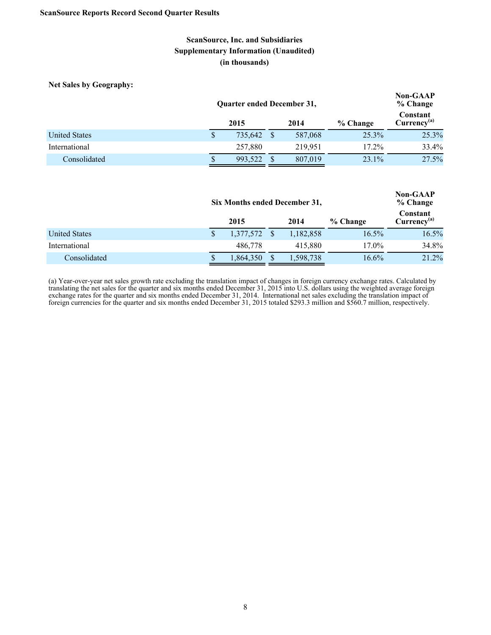**Net Sales by Geography:**

|                      |                          | Quarter ended December 31, |  | <b>Non-GAAP</b><br>% Change |          |       |                                     |
|----------------------|--------------------------|----------------------------|--|-----------------------------|----------|-------|-------------------------------------|
|                      | 2015<br>2014<br>% Change |                            |  |                             |          |       | Constant<br>Currency <sup>(a)</sup> |
| <b>United States</b> |                          | 735,642                    |  | 587,068                     | 25.3%    | 25.3% |                                     |
| International        |                          | 257,880                    |  | 219.951                     | $17.2\%$ | 33.4% |                                     |
| Consolidated         |                          | 993.522                    |  | 807,019                     | 23.1%    | 27.5% |                                     |

|                      |              | Six Months ended December 31, | <b>Non-GAAP</b><br>% Change |           |          |                              |
|----------------------|--------------|-------------------------------|-----------------------------|-----------|----------|------------------------------|
|                      | 2015<br>2014 |                               |                             |           | % Change | Constant<br>$Currency^{(a)}$ |
| <b>United States</b> |              | 1,377,572                     | -S                          | 1,182,858 | $16.5\%$ | 16.5%                        |
| International        |              | 486,778                       |                             | 415,880   | 17.0%    | 34.8%                        |
| Consolidated         |              | 1,864,350                     |                             | 1,598,738 | $16.6\%$ | 21.2%                        |

(a) Year-over-year net sales growth rate excluding the translation impact of changes in foreign currency exchange rates. Calculated by translating the net sales for the quarter and six months ended December 31, 2015 into U.S. dollars using the weighted average foreign exchange rates for the quarter and six months ended December 31, 2014. International net sales excluding the translation impact of foreign currencies for the quarter and six months ended December 31, 2015 totaled \$293.3 million and \$560.7 million, respectively.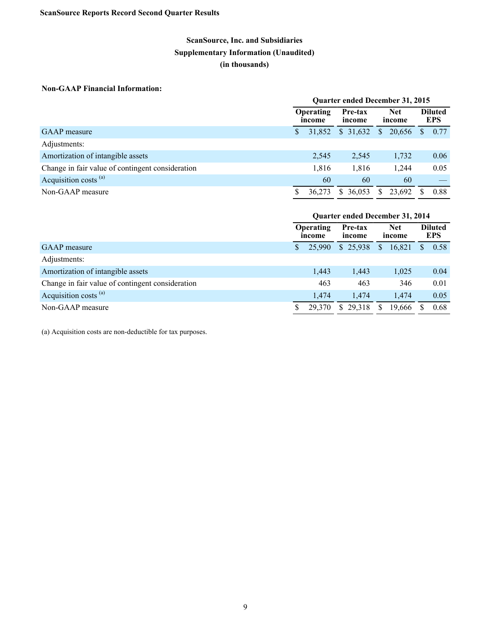## **Non-GAAP Financial Information:**

|                                                  | <b>Quarter ended December 31, 2015</b>                                  |        |          |              |        |  |                              |
|--------------------------------------------------|-------------------------------------------------------------------------|--------|----------|--------------|--------|--|------------------------------|
|                                                  | <b>Net</b><br><b>Operating</b><br>Pre-tax<br>income<br>income<br>income |        |          |              | 20,656 |  | <b>Diluted</b><br><b>EPS</b> |
| <b>GAAP</b> measure                              |                                                                         | 31.852 | \$31,632 | $\mathbb{S}$ |        |  | 0.77                         |
| Adjustments:                                     |                                                                         |        |          |              |        |  |                              |
| Amortization of intangible assets                |                                                                         | 2,545  | 2,545    |              | 1,732  |  | 0.06                         |
| Change in fair value of contingent consideration |                                                                         | 1,816  | 1,816    |              | 1,244  |  | 0.05                         |
| Acquisition costs <sup>(a)</sup>                 |                                                                         | 60     | 60       |              | 60     |  |                              |
| Non-GAAP measure                                 |                                                                         | 36.273 | \$36.053 | S.           | 23,692 |  | 0.88                         |

|                                                  | <b>Ouarter ended December 31, 2014</b> |                                                                         |          |  |              |                              |          |      |
|--------------------------------------------------|----------------------------------------|-------------------------------------------------------------------------|----------|--|--------------|------------------------------|----------|------|
|                                                  |                                        | <b>Operating</b><br><b>Net</b><br>Pre-tax<br>income<br>income<br>income |          |  |              | <b>Diluted</b><br><b>EPS</b> |          |      |
| <b>GAAP</b> measure                              |                                        | 25,990                                                                  | \$25,938 |  | $\mathbb{S}$ | 16,821                       | <b>S</b> | 0.58 |
| Adjustments:                                     |                                        |                                                                         |          |  |              |                              |          |      |
| Amortization of intangible assets                |                                        | 1,443                                                                   | 1,443    |  |              | 1,025                        |          | 0.04 |
| Change in fair value of contingent consideration |                                        | 463                                                                     | 463      |  |              | 346                          |          | 0.01 |
| Acquisition costs <sup>(a)</sup>                 |                                        | 1.474                                                                   | 1.474    |  |              | 1,474                        |          | 0.05 |
| Non-GAAP measure                                 |                                        | 29,370                                                                  | \$29.318 |  | S.           | 19,666                       |          | 0.68 |

(a) Acquisition costs are non-deductible for tax purposes.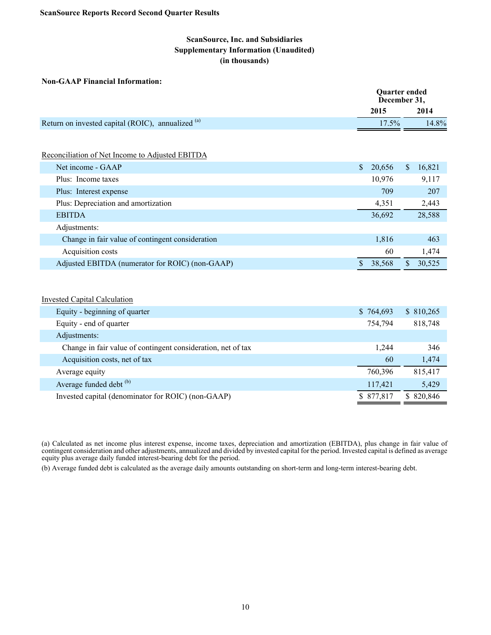#### **Non-GAAP Financial Information:**

|                                                   |              | <b>Quarter ended</b><br>December 31, |    |        |  |
|---------------------------------------------------|--------------|--------------------------------------|----|--------|--|
|                                                   |              | 2015                                 |    | 2014   |  |
| Return on invested capital (ROIC), annualized (a) | $17.5\%$     |                                      |    |        |  |
|                                                   |              |                                      |    |        |  |
| Reconciliation of Net Income to Adjusted EBITDA   |              |                                      |    |        |  |
| Net income - GAAP                                 | $\mathbb{S}$ | 20,656                               | \$ | 16,821 |  |
| Plus: Income taxes                                |              | 10,976                               |    | 9,117  |  |
| Plus: Interest expense                            |              | 709                                  |    | 207    |  |
| Plus: Depreciation and amortization               |              | 4,351                                |    | 2,443  |  |
| <b>EBITDA</b>                                     |              | 36,692                               |    | 28,588 |  |
| Adjustments:                                      |              |                                      |    |        |  |
| Change in fair value of contingent consideration  |              | 1,816                                |    | 463    |  |
| Acquisition costs                                 |              | 60                                   |    | 1,474  |  |
| Adjusted EBITDA (numerator for ROIC) (non-GAAP)   |              | 38,568                               | \$ | 30,525 |  |

#### Invested Capital Calculation

| Equity - beginning of quarter                                | \$764,693  | \$810,265  |
|--------------------------------------------------------------|------------|------------|
| Equity - end of quarter                                      | 754,794    | 818,748    |
| Adjustments:                                                 |            |            |
| Change in fair value of contingent consideration, net of tax | 1.244      | 346        |
| Acquisition costs, net of tax                                | 60         | 1,474      |
| Average equity                                               | 760.396    | 815.417    |
| Average funded debt <sup>(b)</sup>                           | 117,421    | 5,429      |
| Invested capital (denominator for ROIC) (non-GAAP)           | \$ 877,817 | \$ 820,846 |

(a) Calculated as net income plus interest expense, income taxes, depreciation and amortization (EBITDA), plus change in fair value of contingent consideration and other adjustments, annualized and divided by invested capital for the period. Invested capital is defined as average equity plus average daily funded interest-bearing debt for the period.

(b) Average funded debt is calculated as the average daily amounts outstanding on short-term and long-term interest-bearing debt.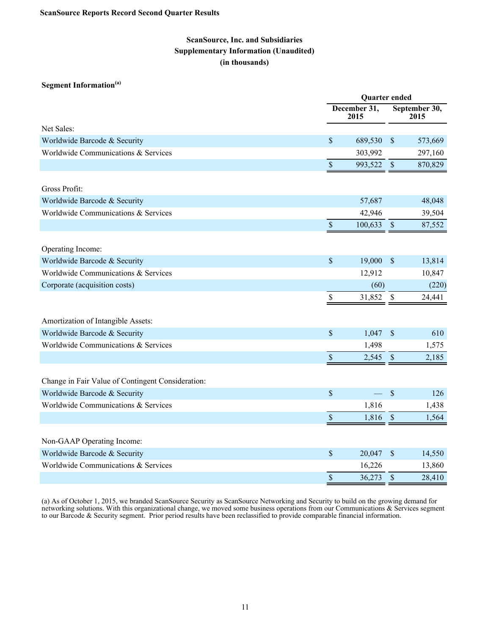### **Segment Information(a)**

|                                                                     |              | Quarter ended        |               |                       |  |
|---------------------------------------------------------------------|--------------|----------------------|---------------|-----------------------|--|
|                                                                     |              | December 31,<br>2015 |               | September 30,<br>2015 |  |
| Net Sales:                                                          |              |                      |               |                       |  |
| Worldwide Barcode & Security                                        | $\$$         | 689,530              | $\sqrt{3}$    | 573,669               |  |
| Worldwide Communications & Services                                 |              | 303,992              |               | 297,160               |  |
|                                                                     | $\sqrt{\ }$  | 993,522              | $\sqrt{3}$    | 870,829               |  |
| Gross Profit:                                                       |              |                      |               |                       |  |
| Worldwide Barcode & Security                                        |              | 57,687               |               | 48,048                |  |
| Worldwide Communications & Services                                 |              | 42,946               |               | 39,504                |  |
|                                                                     | $\mathbb{S}$ | 100,633              | $\mathbb{S}$  | 87,552                |  |
| Operating Income:                                                   |              |                      |               |                       |  |
| Worldwide Barcode & Security                                        | $\sqrt{\ }$  | 19,000               | $\sqrt{3}$    | 13,814                |  |
| Worldwide Communications & Services                                 |              | 12,912               |               | 10,847                |  |
| Corporate (acquisition costs)                                       |              | (60)                 |               | (220)                 |  |
|                                                                     | $\$$         | 31,852 \$            |               | 24,441                |  |
| Amortization of Intangible Assets:                                  |              |                      |               |                       |  |
| Worldwide Barcode & Security                                        | $\mathbb S$  | 1,047                | $\sqrt{S}$    | 610                   |  |
| Worldwide Communications & Services                                 |              | 1,498                |               | 1,575                 |  |
|                                                                     | $\mathbb S$  | 2,545                | $\mathcal{S}$ | 2,185                 |  |
| Change in Fair Value of Contingent Consideration:                   |              |                      |               |                       |  |
| Worldwide Barcode & Security                                        | $\sqrt{\ }$  |                      | $\mathcal{S}$ | 126                   |  |
| Worldwide Communications & Services                                 |              | 1,816                |               | 1,438                 |  |
|                                                                     | $\sqrt{\ }$  | 1,816                | $\mathbb{S}$  | 1,564                 |  |
|                                                                     |              |                      |               |                       |  |
| Non-GAAP Operating Income:                                          | \$           | 20,047               | $\sqrt{3}$    |                       |  |
| Worldwide Barcode & Security<br>Worldwide Communications & Services |              | 16,226               |               | 14,550                |  |
|                                                                     | $\sqrt{\ }$  | 36,273               | \$            | 13,860<br>28,410      |  |
|                                                                     |              |                      |               |                       |  |

(a) As of October 1, 2015, we branded ScanSource Security as ScanSource Networking and Security to build on the growing demand for networking solutions. With this organizational change, we moved some business operations from our Communications & Services segment to our Barcode & Security segment. Prior period results have been reclassified to provide comparable financial information.